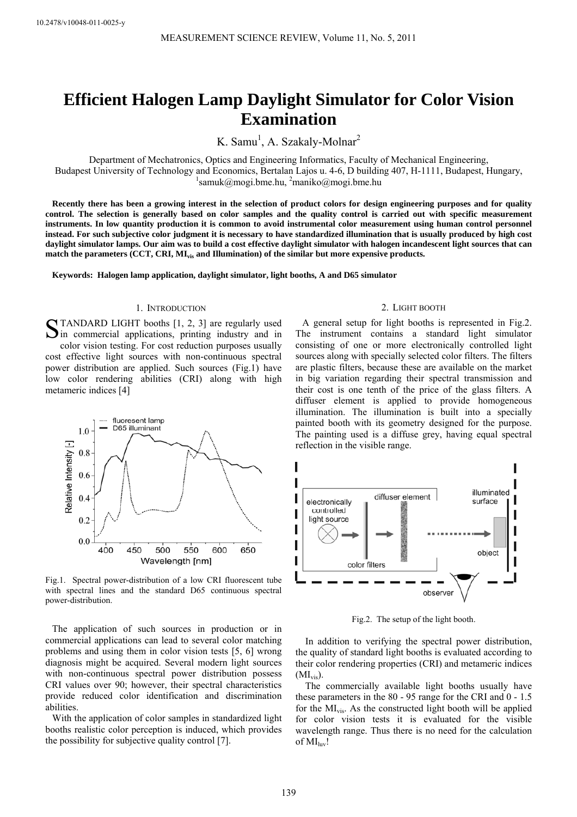# **Efficient Halogen Lamp Daylight Simulator for Color Vision Examination**

K. Samu<sup>1</sup>, A. Szakaly-Molnar<sup>2</sup>

Department of Mechatronics, Optics and Engineering Informatics, Faculty of Mechanical Engineering, Budapest University of Technology and Economics, Bertalan Lajos u. 4-6, D building 407, H-1111, Budapest, Hungary, 1 samuk@mogi.bme.hu, <sup>2</sup>maniko@mogi.bme.hu

**Recently there has been a growing interest in the selection of product colors for design engineering purposes and for quality control. The selection is generally based on color samples and the quality control is carried out with specific measurement instruments. In low quantity production it is common to avoid instrumental color measurement using human control personnel instead. For such subjective color judgment it is necessary to have standardized illumination that is usually produced by high cost daylight simulator lamps. Our aim was to build a cost effective daylight simulator with halogen incandescent light sources that can match the parameters (CCT, CRI, MIvis and Illumination) of the similar but more expensive products.** 

**Keywords: Halogen lamp application, daylight simulator, light booths, A and D65 simulator** 

## 1. INTRODUCTION

STANDARD LIGHT booths [1, 2, 3] are regularly used<br>Sin\_commercial applications, printing industry and in  $\sum$  in commercial applications, printing industry and in color vision testing. For cost reduction purposes usually

cost effective light sources with non-continuous spectral power distribution are applied. Such sources (Fig.1) have low color rendering abilities (CRI) along with high metameric indices [4]



Fig.1. Spectral power-distribution of a low CRI fluorescent tube with spectral lines and the standard D65 continuous spectral power-distribution.

The application of such sources in production or in commercial applications can lead to several color matching problems and using them in color vision tests [5, 6] wrong diagnosis might be acquired. Several modern light sources with non-continuous spectral power distribution possess CRI values over 90; however, their spectral characteristics provide reduced color identification and discrimination abilities.

With the application of color samples in standardized light booths realistic color perception is induced, which provides the possibility for subjective quality control [7].

#### 2. LIGHT BOOTH

A general setup for light booths is represented in Fig.2. The instrument contains a standard light simulator consisting of one or more electronically controlled light sources along with specially selected color filters. The filters are plastic filters, because these are available on the market in big variation regarding their spectral transmission and their cost is one tenth of the price of the glass filters. A diffuser element is applied to provide homogeneous illumination. The illumination is built into a specially painted booth with its geometry designed for the purpose. The painting used is a diffuse grey, having equal spectral reflection in the visible range.



Fig.2. The setup of the light booth.

In addition to verifying the spectral power distribution, the quality of standard light booths is evaluated according to their color rendering properties (CRI) and metameric indices  $(MI_{vis})$ .

The commercially available light booths usually have these parameters in the 80 - 95 range for the CRI and 0 - 1.5 for the MIvis. As the constructed light booth will be applied for color vision tests it is evaluated for the visible wavelength range. Thus there is no need for the calculation of  $MI_{\text{hw}}!$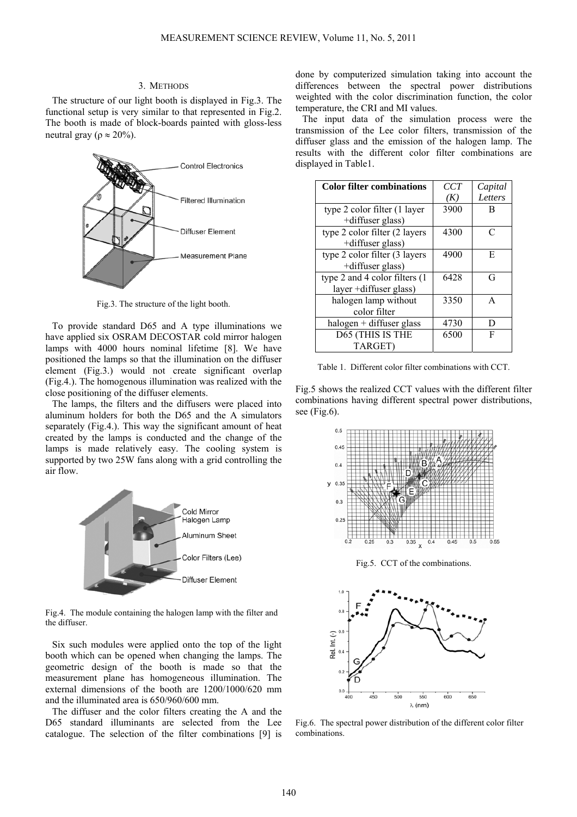## 3. METHODS

The structure of our light booth is displayed in Fig.3. The functional setup is very similar to that represented in Fig.2. The booth is made of block-boards painted with gloss-less neutral gray ( $ρ \approx 20\%$ ).



Fig.3. The structure of the light booth.

To provide standard D65 and A type illuminations we have applied six OSRAM DECOSTAR cold mirror halogen lamps with 4000 hours nominal lifetime [8]. We have positioned the lamps so that the illumination on the diffuser element (Fig.3.) would not create significant overlap (Fig.4.). The homogenous illumination was realized with the close positioning of the diffuser elements.

The lamps, the filters and the diffusers were placed into aluminum holders for both the D65 and the A simulators separately (Fig.4.). This way the significant amount of heat created by the lamps is conducted and the change of the lamps is made relatively easy. The cooling system is supported by two 25W fans along with a grid controlling the air flow.



Fig.4. The module containing the halogen lamp with the filter and the diffuser.

Six such modules were applied onto the top of the light booth which can be opened when changing the lamps. The geometric design of the booth is made so that the measurement plane has homogeneous illumination. The external dimensions of the booth are 1200/1000/620 mm and the illuminated area is 650/960/600 mm.

The diffuser and the color filters creating the A and the D65 standard illuminants are selected from the Lee catalogue. The selection of the filter combinations [9] is

done by computerized simulation taking into account the differences between the spectral power distributions weighted with the color discrimination function, the color temperature, the CRI and MI values.

The input data of the simulation process were the transmission of the Lee color filters, transmission of the diffuser glass and the emission of the halogen lamp. The results with the different color filter combinations are displayed in Table1.

| <b>Color filter combinations</b> | CCT  | Capital |
|----------------------------------|------|---------|
|                                  | (K)  | Letters |
| type 2 color filter (1 layer     | 3900 | в       |
| +diffuser glass)                 |      |         |
| type 2 color filter (2 layers    | 4300 | C       |
| +diffuser glass)                 |      |         |
| type 2 color filter (3 layers    | 4900 | E       |
| +diffuser glass)                 |      |         |
| type 2 and 4 color filters (1)   | 6428 | G       |
| layer +diffuser glass)           |      |         |
| halogen lamp without             | 3350 | A       |
| color filter                     |      |         |
| $halogen + diffuser glass$       | 4730 | D       |
| D65 (THIS IS THE                 | 6500 | F       |
| TARGET)                          |      |         |

Table 1. Different color filter combinations with CCT.

Fig.5 shows the realized CCT values with the different filter combinations having different spectral power distributions, see (Fig.6).



Fig.5. CCT of the combinations.



Fig.6. The spectral power distribution of the different color filter combinations.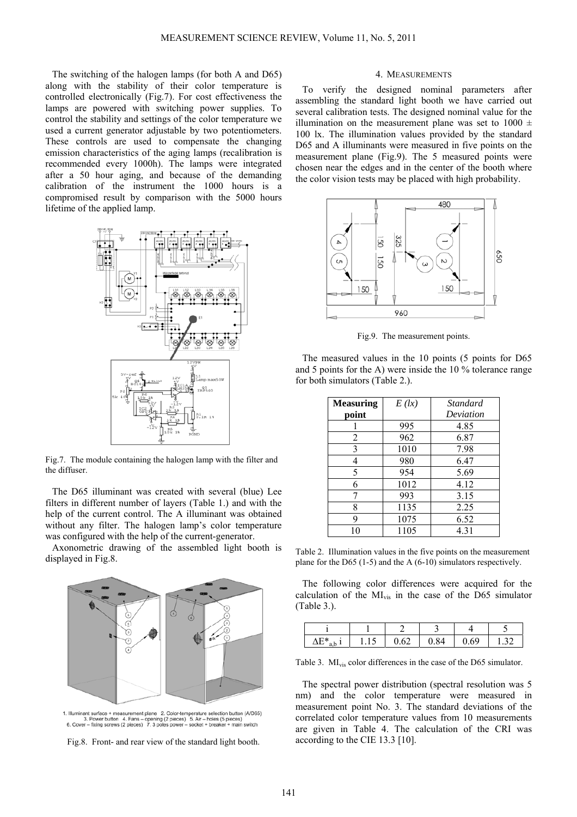The switching of the halogen lamps (for both A and D65) along with the stability of their color temperature is controlled electronically (Fig.7). For cost effectiveness the lamps are powered with switching power supplies. To control the stability and settings of the color temperature we used a current generator adjustable by two potentiometers. These controls are used to compensate the changing emission characteristics of the aging lamps (recalibration is recommended every 1000h). The lamps were integrated after a 50 hour aging, and because of the demanding calibration of the instrument the 1000 hours is a compromised result by comparison with the 5000 hours lifetime of the applied lamp.



Fig.7. The module containing the halogen lamp with the filter and the diffuser.

The D65 illuminant was created with several (blue) Lee filters in different number of layers (Table 1.) and with the help of the current control. The A illuminant was obtained without any filter. The halogen lamp's color temperature was configured with the help of the current-generator.

Axonometric drawing of the assembled light booth is displayed in Fig.8.



1. Illuminant surface + measurement plane 2. Color-temperature selection button (A/D65)<br>3. Power button 4. Fans – opening (2 pieces) 5. Air – holes (5 pieces)<br>6. Cover – fixing screws (2 pieces) 7. 3 poles power – socket +

Fig.8. Front- and rear view of the standard light booth.

## 4. MEASUREMENTS

To verify the designed nominal parameters after assembling the standard light booth we have carried out several calibration tests. The designed nominal value for the illumination on the measurement plane was set to  $1000 \pm$ 100 lx. The illumination values provided by the standard D65 and A illuminants were measured in five points on the measurement plane (Fig.9). The 5 measured points were chosen near the edges and in the center of the booth where the color vision tests may be placed with high probability.



Fig.9. The measurement points.

The measured values in the 10 points (5 points for D65 and 5 points for the A) were inside the 10 % tolerance range for both simulators (Table 2.).

| <b>Measuring</b> | E (l x) | Standard  |
|------------------|---------|-----------|
| point            |         | Deviation |
|                  | 995     | 4.85      |
| 2                | 962     | 6.87      |
| 3                | 1010    | 7.98      |
| 4                | 980     | 6.47      |
| 5                | 954     | 5.69      |
| 6                | 1012    | 4.12      |
| 7                | 993     | 3.15      |
| 8                | 1135    | 2.25      |
| q                | 1075    | 6.52      |
| 10               | 1105    | 4.31      |

Table 2. Illumination values in the five points on the measurement plane for the D65 (1-5) and the A  $(6-10)$  simulators respectively.

The following color differences were acquired for the calculation of the MIvis in the case of the D65 simulator (Table 3.).

| ∧ ⊑ *<br>--<br>u.u | $\cdot$ . $\sim$ | $\mathsf{v}.\mathsf{v}$ | $\mathsf{R}\mathsf{\Lambda}$<br>υ.<br>$\sim$ | .69 | . . <i>. .</i> . |
|--------------------|------------------|-------------------------|----------------------------------------------|-----|------------------|

Table 3. MI<sub>vis</sub> color differences in the case of the D65 simulator.

The spectral power distribution (spectral resolution was 5 nm) and the color temperature were measured in measurement point No. 3. The standard deviations of the correlated color temperature values from 10 measurements are given in Table 4. The calculation of the CRI was according to the CIE 13.3 [10].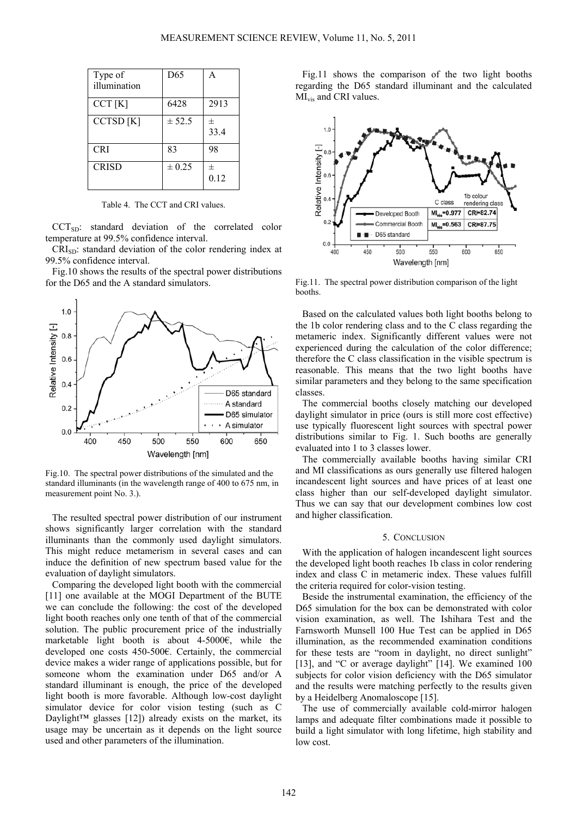| Type of<br>illumination | D65        | A         |
|-------------------------|------------|-----------|
| CCT[K]                  | 6428       | 2913      |
| CCTSD <sub>[K]</sub>    | ± 52.5     | 士<br>33.4 |
| <b>CRI</b>              | 83         | 98        |
| <b>CRISD</b>            | $\pm 0.25$ | 士<br>0.12 |

Table 4. The CCT and CRI values.

CCT<sub>SD</sub>: standard deviation of the correlated color temperature at 99.5% confidence interval.

CRI<sub>SD</sub>: standard deviation of the color rendering index at 99.5% confidence interval.

Fig.10 shows the results of the spectral power distributions for the D65 and the A standard simulators.



Fig.10. The spectral power distributions of the simulated and the standard illuminants (in the wavelength range of 400 to 675 nm, in measurement point No. 3.).

The resulted spectral power distribution of our instrument shows significantly larger correlation with the standard illuminants than the commonly used daylight simulators. This might reduce metamerism in several cases and can induce the definition of new spectrum based value for the evaluation of daylight simulators.

Comparing the developed light booth with the commercial [11] one available at the MOGI Department of the BUTE we can conclude the following: the cost of the developed light booth reaches only one tenth of that of the commercial solution. The public procurement price of the industrially marketable light booth is about 4-5000€, while the developed one costs 450-500€. Certainly, the commercial device makes a wider range of applications possible, but for someone whom the examination under D65 and/or A standard illuminant is enough, the price of the developed light booth is more favorable. Although low-cost daylight simulator device for color vision testing (such as C Daylight<sup>™</sup> glasses [12]) already exists on the market, its usage may be uncertain as it depends on the light source used and other parameters of the illumination.

Fig.11 shows the comparison of the two light booths regarding the D65 standard illuminant and the calculated MI<sub>vis</sub> and CRI values.



Fig.11. The spectral power distribution comparison of the light booths.

Based on the calculated values both light booths belong to the 1b color rendering class and to the C class regarding the metameric index. Significantly different values were not experienced during the calculation of the color difference; therefore the C class classification in the visible spectrum is reasonable. This means that the two light booths have similar parameters and they belong to the same specification classes.

The commercial booths closely matching our developed daylight simulator in price (ours is still more cost effective) use typically fluorescent light sources with spectral power distributions similar to Fig. 1. Such booths are generally evaluated into 1 to 3 classes lower.

The commercially available booths having similar CRI and MI classifications as ours generally use filtered halogen incandescent light sources and have prices of at least one class higher than our self-developed daylight simulator. Thus we can say that our development combines low cost and higher classification.

## 5. CONCLUSION

With the application of halogen incandescent light sources the developed light booth reaches 1b class in color rendering index and class C in metameric index. These values fulfill the criteria required for color-vision testing.

Beside the instrumental examination, the efficiency of the D65 simulation for the box can be demonstrated with color vision examination, as well. The Ishihara Test and the Farnsworth Munsell 100 Hue Test can be applied in D65 illumination, as the recommended examination conditions for these tests are "room in daylight, no direct sunlight" [13], and "C or average daylight" [14]. We examined 100 subjects for color vision deficiency with the D65 simulator and the results were matching perfectly to the results given by a Heidelberg Anomaloscope [15].

The use of commercially available cold-mirror halogen lamps and adequate filter combinations made it possible to build a light simulator with long lifetime, high stability and low cost.